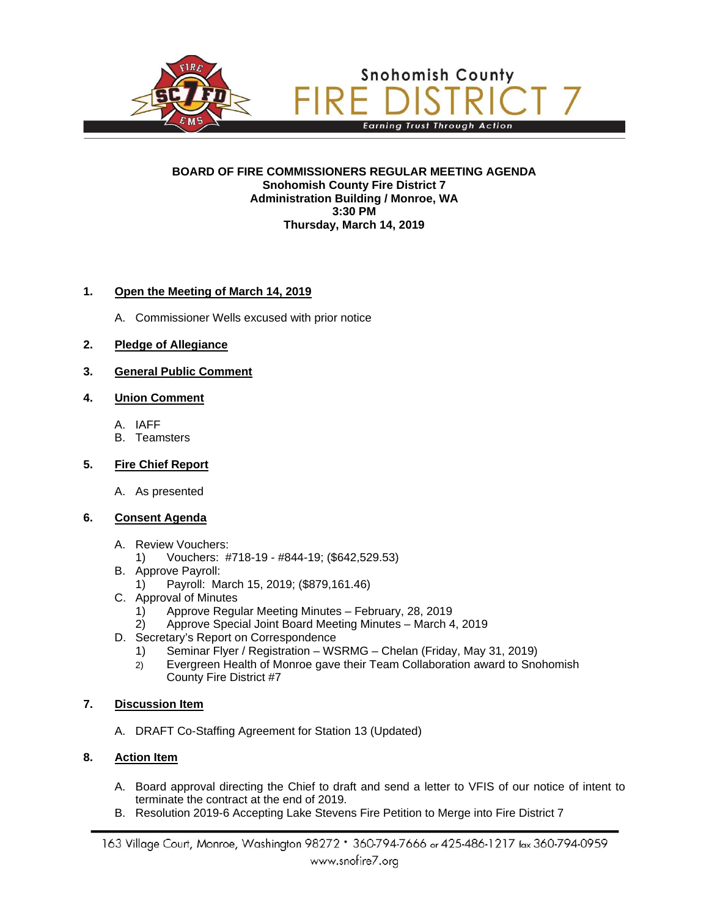

#### **BOARD OF FIRE COMMISSIONERS REGULAR MEETING AGENDA Snohomish County Fire District 7 Administration Building / Monroe, WA 3:30 PM Thursday, March 14, 2019**

# **1. Open the Meeting of March 14, 2019**

A. Commissioner Wells excused with prior notice

#### **2. Pledge of Allegiance**

#### **3. General Public Comment**

#### **4. Union Comment**

- A. IAFF
- B. Teamsters

# **5. Fire Chief Report**

A. As presented

#### **6. Consent Agenda**

- A. Review Vouchers:
	- 1) Vouchers: #718-19 #844-19; (\$642,529.53)
- B. Approve Payroll:
	- 1) Payroll: March 15, 2019; (\$879,161.46)
- C. Approval of Minutes
	- 1) Approve Regular Meeting Minutes February, 28, 2019
	- 2) Approve Special Joint Board Meeting Minutes March 4, 2019
- D. Secretary's Report on Correspondence
	- 1) Seminar Flyer / Registration WSRMG Chelan (Friday, May 31, 2019)
	- 2) Evergreen Health of Monroe gave their Team Collaboration award to Snohomish County Fire District #7

# **7. Discussion Item**

A. DRAFT Co-Staffing Agreement for Station 13 (Updated)

# **8. Action Item**

- A. Board approval directing the Chief to draft and send a letter to VFIS of our notice of intent to terminate the contract at the end of 2019.
- B. Resolution 2019-6 Accepting Lake Stevens Fire Petition to Merge into Fire District 7